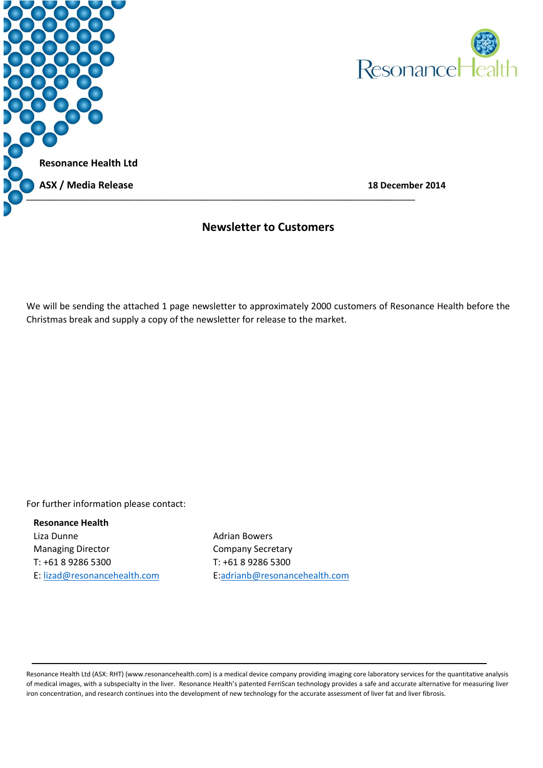



### **Newsletter to Customers**

We will be sending the attached 1 page newsletter to approximately 2000 customers of Resonance Health before the Christmas break and supply a copy of the newsletter for release to the market.

For further information please contact:

### **Resonance Health**

Liza Dunne Managing Director T: +61 8 9286 5300 E[: lizad@resonancehealth.com](mailto:lizad@resonancehealth.com)

Adrian Bowers Company Secretary T: +61 8 9286 5300 E[:adrianb@resonancehealth.c](mailto:naomih@resonancehealth.com)om

Resonance Health Ltd (ASX: RHT) (www.resonancehealth.com) is a medical device company providing imaging core laboratory services for the quantitative analysis of medical images, with a subspecialty in the liver. Resonance Health's patented FerriScan technology provides a safe and accurate alternative for measuring liver iron concentration, and research continues into the development of new technology for the accurate assessment of liver fat and liver fibrosis.